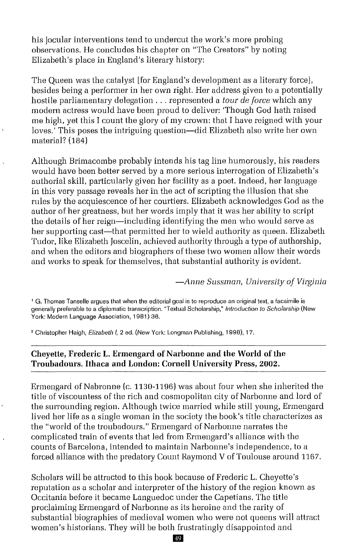his jocular interventions tend to undercut the work's more probing observations. He concludes his chapter on "The Creators" by noting Elizabeth's place in England's literary history:

The Queen was the catalyst [for England's development as a literary force], besides being a performer in her own right. Her address given to a potentially hostile parliamentary delegation ... represented <sup>a</sup> *tour de force* which any modern actress would have been proud to deliver: Though God hath raised me high, yet this I count the glory of my crown: that I have reigned with your loves.<sup>7</sup> This poses the intriguing question—did Elizabeth also write her own material? (184)

Although Brimacombe probably intends his tag line humorously, his readers would have been better served by a more serious interrogation of Elizabeth's authorial skill, particularly given her facility as a poet. Indeed, her language in this very passage reveals her in the act of scripting the illusion that she rules by the acquiescence of her courtiers. Elizabeth acknowledges God as the author of her greatness, but her words imply that it was her ability to script the details of her reign-including identifying the men who would serve as her supporting cast-that permitted her to wield authority as queen. Elizabeth Tudor, like Elizabeth Joscelin, achieved authority through a type of authorship, and when the editors and biographers of these two women allow their words and works to speak for themselves, that substantial authority is evident.

*-Anne Sussman, University of Virginia*

<sup>1</sup> G. Thomas Tanselle argues that when the editorial goal is to reproduce an original text, a facsimile is generally preferable to a diplomatic transcription. "Textual Scholarship," *Introduction to Scholarship* (New York: Modern Language Association, 1981) 36.

<sup>2</sup> Christopher Haigh, *Elizabeth I*, 2 ed. (New York: Longman Publishing, 1998), 17.

## **Cheyette, Frederic L. Ermengard** of Narbonne **and the World** ofthe **Troubadours. Ithaca and London: Cornell University Press, 2002.**

Ermengard of Nabronne (c. 1130-1196) was about four when she inherited the title of viscountess of the rich and cosmopolitan city of Narbonne and lord of the surrounding region. Although twice married while still young, Ermengard lived her life as a single woman in the society the book's title characterizes as the "world of the troubadours." Ermengard of Narbonne narrates the complicated train of events that led from Ermengard's alliance with the counts of Barcelona, intended to maintain Narbonne's independence, to a forced alliance with the predatory Count Raymond V of Toulouse around 1167.

Scholars will be attracted to this book because of Frederic L. Cheyette's reputation as a scholar and interpreter of the history of the region known as Occitania before it became Languedoc under the Capetians. The title proclaiming Ermengard of Narbonne as its heroine and the rarity of substantial biographies of medieval women who were not queens will attract women's historians. They will be both frustratingly disappointed and

49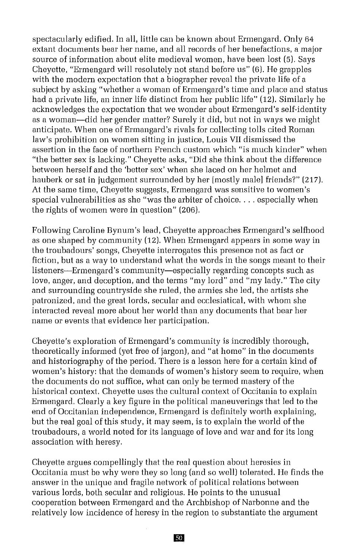spectacularly edified. **In** all, little can be known about Ermengard. Only 64 extant documents bear her name, and all records of her benefactions, a major source of information about elite medieval women, have been lost (5). Says Cheyette, "Ermengard will resolutely not stand before us" (6). He grapples with the modern expectation that a biographer reveal the private life of a subject by asking "whether a woman of Ermengard's time and place and status had a private life, an inner life distinct from her public life" (12). Similarly he acknowledges the expectation that we wonder about Ermengard's self-identity as a woman-did her gender matter? Surely it did, but not in ways we might anticipate. When one of Ermangard's rivals for collecting tolls cited Roman law's prohibition on women sitting in justice, Louis VII dismissed the assertion in the face of northern French custom which "is much kinder" when "the better sex is lacking." Cheyette asks, "Did she think about the difference between herself and the 'better sex' when she laced on her helmet and hauberk or sat in judgement surrounded by her [mostly male] friends?" (217). At the same time, Cheyette suggests, Ermengard was sensitive to women's special vulnerabilities as she "was the arbiter of choice.... especially when the rights of women were in question" (206).

Following Caroline Bynum's lead, Cheyette approaches Ermengard's selfhood as one shaped by community (12). When Ermengard appears in some way in the troubadours' songs, Cheyette interrogates this presence not as fact or fiction, but as a way to understand what the words in the songs meant to their listeners-Ermengard's community-especially regarding concepts such as love, anger, and deception, and the terms "my lord" and "my lady." The city and surrounding countryside she ruled, the armies she led, the artists she patronized, and the great lords, secular and ecclesiatical, with whom she interacted reveal more about her world than any documents that bear her name or events that evidence her participation.

Cheyette's exploration of Ermengard's community is incredibly thorough, theoretically informed (yet free of jargon), and "at home" in the documents and historiography of the period. There is a lesson here for a certain kind of women's history: that the demands of women's history seem to require, when the documents do not suffice, what can only be termed mastery of the historical context. Cheyette uses the cultural context of Occitania to explain Ermengard. Clearly a key figure in the political maneuverings that led to the end of Occitanian independence, Ermengard is definitely worth explaining, but the real goal of this study, it may seem, is to explain the world of the troubadours, a world noted for its language of love and war and for its long association with heresy.

Cheyette argues compellingly that the real question about heresies in Occitania must be why were they so long (and so well) tolerated. He finds the answer in the unique and fragile network of political relations between various lords, both secular and religious. He points to the unusual cooperation between Ermengard and the Archbishop of Narbonne and the relatively low incidence of heresy in the region to substantiate the argument